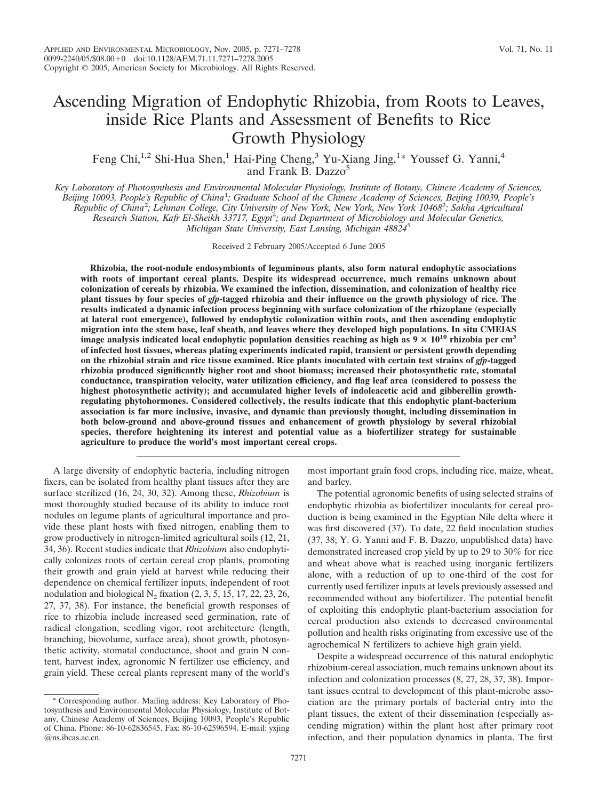# Ascending Migration of Endophytic Rhizobia, from Roots to Leaves, inside Rice Plants and Assessment of Benefits to Rice Growth Physiology

Feng Chi,<sup>1,2</sup> Shi-Hua Shen,<sup>1</sup> Hai-Ping Cheng,<sup>3</sup> Yu-Xiang Jing,<sup>1</sup>\* Youssef G. Yanni,<sup>4</sup> and Frank B. Dazzo<sup>5</sup>

*Key Laboratory of Photosynthesis and Environmental Molecular Physiology, Institute of Botany, Chinese Academy of Sciences, Beijing 10093, People's Republic of China*<sup>1</sup> *; Graduate School of the Chinese Academy of Sciences, Beijing 10039, People's Republic of China*<sup>2</sup> *; Lehman College, City University of New York, New York, New York 10468*<sup>3</sup> *; Sakha Agricultural Research Station, Kafr El-Sheikh 33717, Egypt*<sup>4</sup> *; and Department of Microbiology and Molecular Genetics, Michigan State University, East Lansing, Michigan 48824*<sup>5</sup>

Received 2 February 2005/Accepted 6 June 2005

**Rhizobia, the root-nodule endosymbionts of leguminous plants, also form natural endophytic associations with roots of important cereal plants. Despite its widespread occurrence, much remains unknown about colonization of cereals by rhizobia. We examined the infection, dissemination, and colonization of healthy rice plant tissues by four species of** *gfp-***tagged rhizobia and their influence on the growth physiology of rice. The results indicated a dynamic infection process beginning with surface colonization of the rhizoplane (especially at lateral root emergence), followed by endophytic colonization within roots, and then ascending endophytic migration into the stem base, leaf sheath, and leaves where they developed high populations. In situ CMEIAS** image analysis indicated local endophytic population densities reaching as high as  $9 \times 10^{10}$  rhizobia per cm<sup>3</sup> **of infected host tissues, whereas plating experiments indicated rapid, transient or persistent growth depending on the rhizobial strain and rice tissue examined. Rice plants inoculated with certain test strains of** *gfp***-tagged rhizobia produced significantly higher root and shoot biomass; increased their photosynthetic rate, stomatal conductance, transpiration velocity, water utilization efficiency, and flag leaf area (considered to possess the highest photosynthetic activity); and accumulated higher levels of indoleacetic acid and gibberellin growthregulating phytohormones. Considered collectively, the results indicate that this endophytic plant-bacterium association is far more inclusive, invasive, and dynamic than previously thought, including dissemination in both below-ground and above-ground tissues and enhancement of growth physiology by several rhizobial species, therefore heightening its interest and potential value as a biofertilizer strategy for sustainable agriculture to produce the world's most important cereal crops.**

A large diversity of endophytic bacteria, including nitrogen fixers, can be isolated from healthy plant tissues after they are surface sterilized (16, 24, 30, 32). Among these, *Rhizobium* is most thoroughly studied because of its ability to induce root nodules on legume plants of agricultural importance and provide these plant hosts with fixed nitrogen, enabling them to grow productively in nitrogen-limited agricultural soils (12, 21, 34, 36). Recent studies indicate that *Rhizobium* also endophytically colonizes roots of certain cereal crop plants, promoting their growth and grain yield at harvest while reducing their dependence on chemical fertilizer inputs, independent of root nodulation and biological  $N_2$  fixation  $(2, 3, 5, 15, 17, 22, 23, 26,$ 27, 37, 38). For instance, the beneficial growth responses of rice to rhizobia include increased seed germination, rate of radical elongation, seedling vigor, root architecture (length, branching, biovolume, surface area), shoot growth, photosynthetic activity, stomatal conductance, shoot and grain N content, harvest index, agronomic N fertilizer use efficiency, and grain yield. These cereal plants represent many of the world's

\* Corresponding author. Mailing address: Key Laboratory of Photosynthesis and Environmental Molecular Physiology, Institute of Botany, Chinese Academy of Sciences, Beijing 10093, People's Republic of China. Phone: 86-10-62836545. Fax: 86-10-62596594. E-mail: yxjing @ns.ibcas.ac.cn.

most important grain food crops, including rice, maize, wheat, and barley.

The potential agronomic benefits of using selected strains of endophytic rhizobia as biofertilizer inoculants for cereal production is being examined in the Egyptian Nile delta where it was first discovered (37). To date, 22 field inoculation studies (37, 38; Y. G. Yanni and F. B. Dazzo, unpublished data) have demonstrated increased crop yield by up to 29 to 30% for rice and wheat above what is reached using inorganic fertilizers alone, with a reduction of up to one-third of the cost for currently used fertilizer inputs at levels previously assessed and recommended without any biofertilizer. The potential benefit of exploiting this endophytic plant-bacterium association for cereal production also extends to decreased environmental pollution and health risks originating from excessive use of the agrochemical N fertilizers to achieve high grain yield.

Despite a widespread occurrence of this natural endophytic rhizobium-cereal association, much remains unknown about its infection and colonization processes (8, 27, 28, 37, 38). Important issues central to development of this plant-microbe association are the primary portals of bacterial entry into the plant tissues, the extent of their dissemination (especially ascending migration) within the plant host after primary root infection, and their population dynamics in planta. The first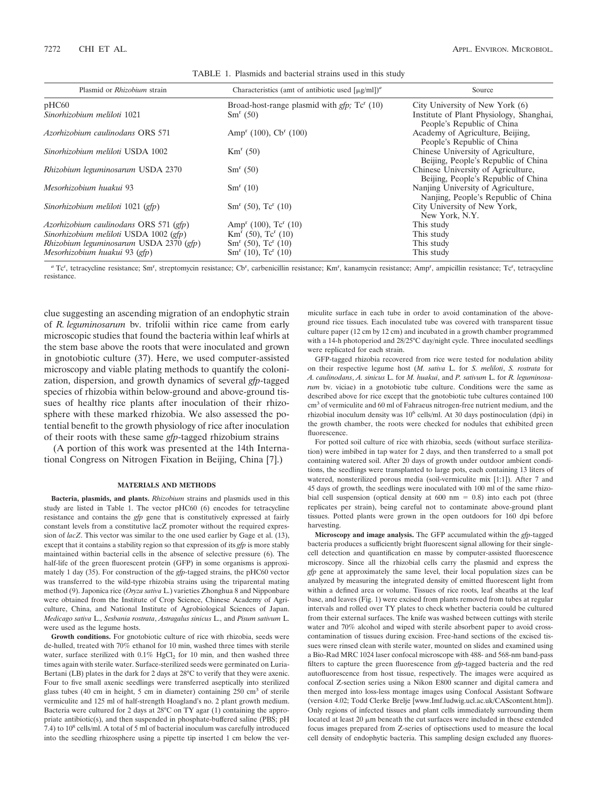| TABLE 1. Plasmids and bacterial strains used in this study |  |  |  |  |  |  |  |  |
|------------------------------------------------------------|--|--|--|--|--|--|--|--|
|------------------------------------------------------------|--|--|--|--|--|--|--|--|

| Plasmid or <i>Rhizobium</i> strain      | Characteristics (amt of antibiotic used $[\mu g/ml]$ ) <sup>a</sup> | Source                                                                    |
|-----------------------------------------|---------------------------------------------------------------------|---------------------------------------------------------------------------|
| pH <sub>CO</sub>                        | Broad-host-range plasmid with $gfp$ ; $Tc^{r}$ (10)                 | City University of New York (6)                                           |
| Sinorhizobium meliloti 1021             | $Sm^{r}(50)$                                                        | Institute of Plant Physiology, Shanghai,<br>People's Republic of China    |
| Azorhizobium caulinodans ORS 571        | Amp <sup>r</sup> (100), $Cb^{r}$ (100)                              | Academy of Agriculture, Beijing,<br>People's Republic of China            |
| Sinorhizobium meliloti USDA 1002        | $Km^r(50)$                                                          | Chinese University of Agriculture,<br>Beijing, People's Republic of China |
| Rhizobium leguminosarum USDA 2370       | $Sm^{r}(50)$                                                        | Chinese University of Agriculture,<br>Beijing, People's Republic of China |
| Mesorhizobium huakui 93                 | $Sm^{r}(10)$                                                        | Nanjing University of Agriculture,<br>Nanjing, People's Republic of China |
| Sinorhizobium meliloti 1021 (gfp)       | $Sm^{r}(50)$ , Tc <sup>r</sup> (10)                                 | City University of New York,<br>New York, N.Y.                            |
| Azorhizobium caulinodans ORS 571 (gfp)  | Amp <sup>r</sup> (100), $Tc^{r}$ (10)                               | This study                                                                |
| Sinorhizobium meliloti USDA 1002 (gfp)  | $\text{Km}^r$ (50), $\text{Tc}^r$ (10)                              | This study                                                                |
| Rhizobium leguminosarum USDA 2370 (gfp) | $Sm^{r}(50)$ , Tc <sup>r</sup> (10)                                 | This study                                                                |
| Mesorhizobium huakui 93 (gfp)           | $Sm^{r}(10)$ , Tc <sup>r</sup> (10)                                 | This study                                                                |

a Tc<sup>r</sup>, tetracycline resistance; Sm<sup>r</sup>, streptomycin resistance; Cb<sup>r</sup>, carbenicillin resistance; Km<sup>r</sup>, kanamycin resistance; Amp<sup>r</sup>, ampicillin resistance; Tc<sup>r</sup>, tetracycline resistance.

clue suggesting an ascending migration of an endophytic strain of *R. leguminosarum* bv. trifolii within rice came from early microscopic studies that found the bacteria within leaf whirls at the stem base above the roots that were inoculated and grown in gnotobiotic culture (37). Here, we used computer-assisted microscopy and viable plating methods to quantify the colonization, dispersion, and growth dynamics of several *gfp*-tagged species of rhizobia within below-ground and above-ground tissues of healthy rice plants after inoculation of their rhizosphere with these marked rhizobia. We also assessed the potential benefit to the growth physiology of rice after inoculation of their roots with these same *gfp*-tagged rhizobium strains

(A portion of this work was presented at the 14th International Congress on Nitrogen Fixation in Beijing, China [7].)

## **MATERIALS AND METHODS**

**Bacteria, plasmids, and plants.** *Rhizobium* strains and plasmids used in this study are listed in Table 1. The vector pHC60 (6) encodes for tetracycline resistance and contains the *gfp* gene that is constitutively expressed at fairly constant levels from a constitutive lacZ promoter without the required expression of *lacZ*. This vector was similar to the one used earlier by Gage et al. (13), except that it contains a stability region so that expression of its *gfp* is more stably maintained within bacterial cells in the absence of selective pressure (6). The half-life of the green fluorescent protein (GFP) in some organisms is approximately 1 day (35). For construction of the *gfp-*tagged strains, the pHC60 vector was transferred to the wild-type rhizobia strains using the triparental mating method (9). Japonica rice (*Oryza sativa* L.) varieties Zhonghua 8 and Nipponbare were obtained from the Institute of Crop Science, Chinese Academy of Agriculture, China, and National Institute of Agrobiological Sciences of Japan. *Medicago sativa* L., *Sesbania rostrata*, *Astragalus sinicus* L., and *Pisum sativum* L. were used as the legume hosts.

**Growth conditions.** For gnotobiotic culture of rice with rhizobia, seeds were de-hulled, treated with 70% ethanol for 10 min, washed three times with sterile water, surface sterilized with  $0.1\%$  HgCl<sub>2</sub> for 10 min, and then washed three times again with sterile water. Surface-sterilized seeds were germinated on Luria-Bertani (LB) plates in the dark for 2 days at 28°C to verify that they were axenic. Four to five small axenic seedlings were transferred aseptically into sterilized glass tubes (40 cm in height, 5 cm in diameter) containing 250 cm<sup>3</sup> of sterile vermiculite and 125 ml of half-strength Hoagland's no. 2 plant growth medium. Bacteria were cultured for 2 days at 28°C on TY agar (1) containing the appropriate antibiotic(s), and then suspended in phosphate-buffered saline (PBS; pH 7.4) to 108 cells/ml. A total of 5 ml of bacterial inoculum was carefully introduced into the seedling rhizosphere using a pipette tip inserted 1 cm below the vermiculite surface in each tube in order to avoid contamination of the aboveground rice tissues. Each inoculated tube was covered with transparent tissue culture paper (12 cm by 12 cm) and incubated in a growth chamber programmed with a 14-h photoperiod and 28/25°C day/night cycle. Three inoculated seedlings were replicated for each strain.

GFP-tagged rhizobia recovered from rice were tested for nodulation ability on their respective legume host (*M. sativa* L. for *S. meliloti*, *S. rostrata* for *A. caulinodans*, *A. sinicus* L. for *M. huakui*, and *P. sativum* L. for *R. leguminosarum* bv. viciae**)** in a gnotobiotic tube culture. Conditions were the same as described above for rice except that the gnotobiotic tube cultures contained 100 cm<sup>3</sup> of vermiculite and 60 ml of Fahraeus nitrogen-free nutrient medium, and the rhizobial inoculum density was  $10^6$  cells/ml. At 30 days postinoculation (dpi) in the growth chamber, the roots were checked for nodules that exhibited green fluorescence.

For potted soil culture of rice with rhizobia, seeds (without surface sterilization) were imbibed in tap water for 2 days, and then transferred to a small pot containing watered soil. After 20 days of growth under outdoor ambient conditions, the seedlings were transplanted to large pots, each containing 13 liters of watered, nonsterilized porous media (soil-vermiculite mix [1:1]). After 7 and 45 days of growth, the seedlings were inoculated with 100 ml of the same rhizobial cell suspension (optical density at  $600 \text{ nm} = 0.8$ ) into each pot (three replicates per strain), being careful not to contaminate above-ground plant tissues. Potted plants were grown in the open outdoors for 160 dpi before harvesting.

**Microscopy and image analysis.** The GFP accumulated within the *gfp*-tagged bacteria produces a sufficiently bright fluorescent signal allowing for their singlecell detection and quantification en masse by computer-assisted fluorescence microscopy. Since all the rhizobial cells carry the plasmid and express the *gfp* gene at approximately the same level, their local population sizes can be analyzed by measuring the integrated density of emitted fluorescent light from within a defined area or volume. Tissues of rice roots, leaf sheaths at the leaf base, and leaves (Fig. 1) were excised from plants removed from tubes at regular intervals and rolled over TY plates to check whether bacteria could be cultured from their external surfaces. The knife was washed between cuttings with sterile water and 70% alcohol and wiped with sterile absorbent paper to avoid crosscontamination of tissues during excision. Free-hand sections of the excised tissues were rinsed clean with sterile water, mounted on slides and examined using a Bio-Rad MRC 1024 laser confocal microscope with 488- and 568-nm band-pass filters to capture the green fluorescence from *gfp*-tagged bacteria and the red autofluorescence from host tissue, respectively. The images were acquired as confocal Z-section series using a Nikon E800 scanner and digital camera and then merged into loss-less montage images using Confocal Assistant Software (version 4.02; Todd Clerke Brelje [www.Imf.ludwig.ucl.ac.uk/CAScontent.htm]). Only regions of infected tissues and plant cells immediately surrounding them located at least  $20 \mu m$  beneath the cut surfaces were included in these extended focus images prepared from Z-series of optisections used to measure the local cell density of endophytic bacteria. This sampling design excluded any fluores-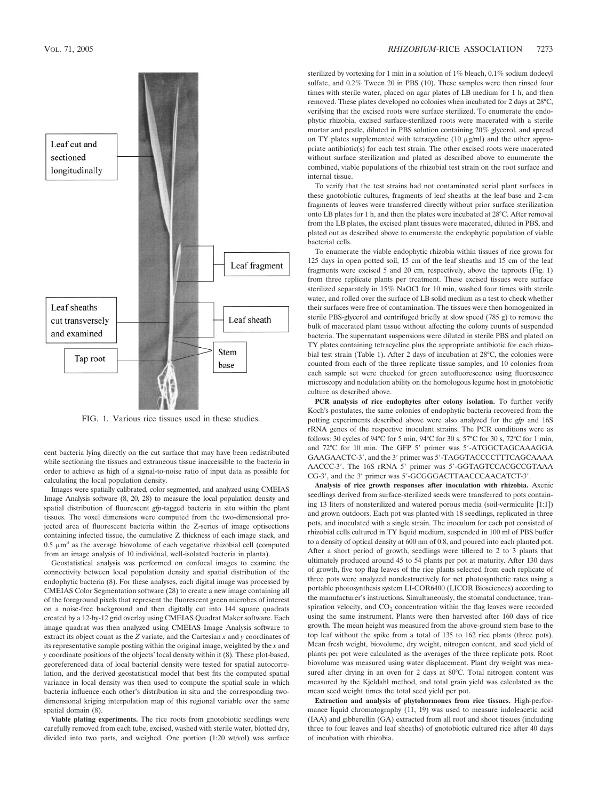

FIG. 1. Various rice tissues used in these studies.

cent bacteria lying directly on the cut surface that may have been redistributed while sectioning the tissues and extraneous tissue inaccessible to the bacteria in order to achieve as high of a signal-to-noise ratio of input data as possible for calculating the local population density.

Images were spatially calibrated, color segmented, and analyzed using CMEIAS Image Analysis software (8, 20, 28) to measure the local population density and spatial distribution of fluorescent *gfp*-tagged bacteria in situ within the plant tissues. The voxel dimensions were computed from the two-dimensional projected area of fluorescent bacteria within the Z-series of image optisections containing infected tissue, the cumulative Z thickness of each image stack, and  $0.5 \mu m^3$  as the average biovolume of each vegetative rhizobial cell (computed from an image analysis of 10 individual, well-isolated bacteria in planta).

Geostatistical analysis was performed on confocal images to examine the connectivity between local population density and spatial distribution of the endophytic bacteria (8). For these analyses, each digital image was processed by CMEIAS Color Segmentation software (28) to create a new image containing all of the foreground pixels that represent the fluorescent green microbes of interest on a noise-free background and then digitally cut into 144 square quadrats created by a 12-by-12 grid overlay using CMEIAS Quadrat Maker software. Each image quadrat was then analyzed using CMEIAS Image Analysis software to extract its object count as the *Z* variate, and the Cartesian *x* and *y* coordinates of its representative sample posting within the original image, weighted by the *x* and *y* coordinate positions of the objects' local density within it (8). These plot-based, georeferenced data of local bacterial density were tested for spatial autocorrelation, and the derived geostatistical model that best fits the computed spatial variance in local density was then used to compute the spatial scale in which bacteria influence each other's distribution in situ and the corresponding twodimensional kriging interpolation map of this regional variable over the same spatial domain (8).

**Viable plating experiments.** The rice roots from gnotobiotic seedlings were carefully removed from each tube, excised, washed with sterile water, blotted dry, divided into two parts, and weighed. One portion (1:20 wt/vol) was surface

sterilized by vortexing for 1 min in a solution of 1% bleach, 0.1% sodium dodecyl sulfate, and 0.2% Tween 20 in PBS (10). These samples were then rinsed four times with sterile water, placed on agar plates of LB medium for 1 h, and then removed. These plates developed no colonies when incubated for 2 days at 28°C, verifying that the excised roots were surface sterilized. To enumerate the endophytic rhizobia, excised surface-sterilized roots were macerated with a sterile mortar and pestle, diluted in PBS solution containing 20% glycerol, and spread on TY plates supplemented with tetracycline  $(10 \mu g/ml)$  and the other appropriate antibiotic(s) for each test strain. The other excised roots were macerated without surface sterilization and plated as described above to enumerate the combined, viable populations of the rhizobial test strain on the root surface and internal tissue.

To verify that the test strains had not contaminated aerial plant surfaces in these gnotobiotic cultures, fragments of leaf sheaths at the leaf base and 2-cm fragments of leaves were transferred directly without prior surface sterilization onto LB plates for 1 h, and then the plates were incubated at 28°C. After removal from the LB plates, the excised plant tissues were macerated, diluted in PBS, and plated out as described above to enumerate the endophytic population of viable bacterial cells.

To enumerate the viable endophytic rhizobia within tissues of rice grown for 125 days in open potted soil, 15 cm of the leaf sheaths and 15 cm of the leaf fragments were excised 5 and 20 cm, respectively, above the taproots (Fig. 1) from three replicate plants per treatment. These excised tissues were surface sterilized separately in 15% NaOCl for 10 min, washed four times with sterile water, and rolled over the surface of LB solid medium as a test to check whether their surfaces were free of contamination. The tissues were then homogenized in sterile PBS-glycerol and centrifuged briefly at slow speed (785 g) to remove the bulk of macerated plant tissue without affecting the colony counts of suspended bacteria. The supernatant suspensions were diluted in sterile PBS and plated on TY plates containing tetracycline plus the appropriate antibiotic for each rhizobial test strain (Table 1). After 2 days of incubation at 28°C, the colonies were counted from each of the three replicate tissue samples, and 10 colonies from each sample set were checked for green autofluorescence using fluorescence microscopy and nodulation ability on the homologous legume host in gnotobiotic culture as described above.

**PCR analysis of rice endophytes after colony isolation.** To further verify Koch's postulates, the same colonies of endophytic bacteria recovered from the potting experiments described above were also analyzed for the *gfp* and 16S rRNA genes of the respective inoculant strains. The PCR conditions were as follows: 30 cycles of 94°C for 5 min, 94°C for 30 s, 57°C for 30 s, 72°C for 1 min, and 72°C for 10 min. The GFP 5' primer was 5'-ATGGCTAGCAAAGGA GAAGAACTC-3', and the 3' primer was 5'-TAGGTACCCCTTTCAGCAAAA AACCC-3'. The 16S rRNA 5' primer was 5'-GGTAGTCCACGCCGTAAA CG-3', and the 3' primer was 5'-GCGGGACTTAACCCAACATCT-3'.

**Analysis of rice growth responses after inoculation with rhizobia.** Axenic seedlings derived from surface-sterilized seeds were transferred to pots containing 13 liters of nonsterilized and watered porous media (soil-vermiculite [1:1]) and grown outdoors. Each pot was planted with 18 seedlings, replicated in three pots, and inoculated with a single strain. The inoculum for each pot consisted of rhizobial cells cultured in TY liquid medium, suspended in 100 ml of PBS buffer to a density of optical density at 600 nm of 0.8, and poured into each planted pot. After a short period of growth, seedlings were tillered to 2 to 3 plants that ultimately produced around 45 to 54 plants per pot at maturity. After 130 days of growth, five top flag leaves of the rice plants selected from each replicate of three pots were analyzed nondestructively for net photosynthetic rates using a portable photosynthesis system LI-COR6400 (LICOR Biosciences) according to the manufacturer's instructions. Simultaneously, the stomatal conductance, transpiration velocity, and  $CO<sub>2</sub>$  concentration within the flag leaves were recorded using the same instrument. Plants were then harvested after 160 days of rice growth. The mean height was measured from the above-ground stem base to the top leaf without the spike from a total of 135 to 162 rice plants (three pots). Mean fresh weight, biovolume, dry weight, nitrogen content, and seed yield of plants per pot were calculated as the averages of the three replicate pots. Root biovolume was measured using water displacement. Plant dry weight was measured after drying in an oven for 2 days at 80°C. Total nitrogen content was measured by the Kjeldahl method, and total grain yield was calculated as the mean seed weight times the total seed yield per pot.

**Extraction and analysis of phytohormones from rice tissues.** High-performance liquid chromatography (11, 19) was used to measure indoleacetic acid (IAA) and gibberellin (GA) extracted from all root and shoot tissues (including three to four leaves and leaf sheaths) of gnotobiotic cultured rice after 40 days of incubation with rhizobia.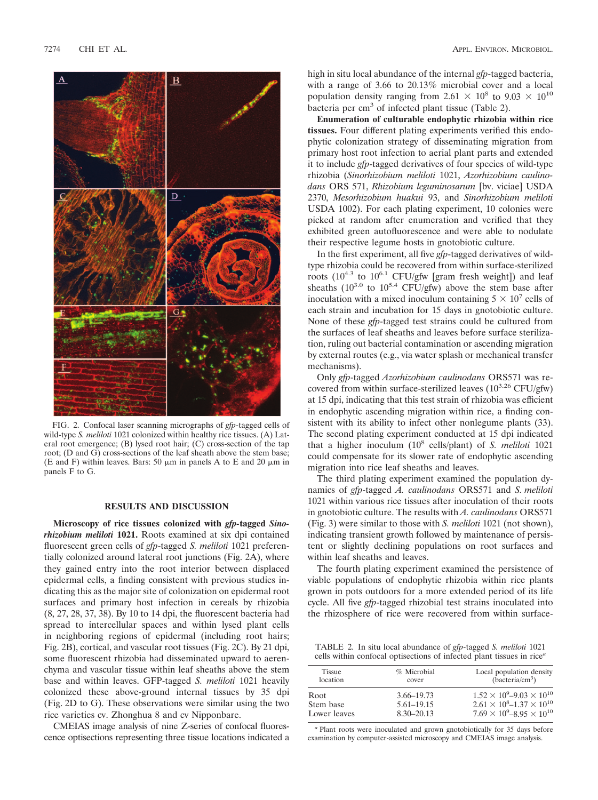

FIG. 2. Confocal laser scanning micrographs of *gfp*-tagged cells of wild-type *S. meliloti* 1021 colonized within healthy rice tissues. (A) Lateral root emergence; (B) lysed root hair; (C) cross-section of the tap root; (D and G) cross-sections of the leaf sheath above the stem base; (E and F) within leaves. Bars: 50  $\mu$ m in panels A to E and 20  $\mu$ m in panels F to G.

## **RESULTS AND DISCUSSION**

**Microscopy of rice tissues colonized with** *gfp-***tagged** *Sinorhizobium meliloti* **1021.** Roots examined at six dpi contained fluorescent green cells of *gfp*-tagged *S. meliloti* 1021 preferentially colonized around lateral root junctions (Fig. 2A), where they gained entry into the root interior between displaced epidermal cells, a finding consistent with previous studies indicating this as the major site of colonization on epidermal root surfaces and primary host infection in cereals by rhizobia (8, 27, 28, 37, 38). By 10 to 14 dpi, the fluorescent bacteria had spread to intercellular spaces and within lysed plant cells in neighboring regions of epidermal (including root hairs; Fig. 2B), cortical, and vascular root tissues (Fig. 2C). By 21 dpi, some fluorescent rhizobia had disseminated upward to aerenchyma and vascular tissue within leaf sheaths above the stem base and within leaves. GFP-tagged *S. meliloti* 1021 heavily colonized these above-ground internal tissues by 35 dpi (Fig. 2D to G). These observations were similar using the two rice varieties cv. Zhonghua 8 and cv Nipponbare.

CMEIAS image analysis of nine Z-series of confocal fluorescence optisections representing three tissue locations indicated a high in situ local abundance of the internal *gfp*-tagged bacteria, with a range of 3.66 to 20.13% microbial cover and a local population density ranging from 2.61  $\times$  10<sup>8</sup> to 9.03  $\times$  10<sup>10</sup> bacteria per cm<sup>3</sup> of infected plant tissue (Table 2).

**Enumeration of culturable endophytic rhizobia within rice tissues.** Four different plating experiments verified this endophytic colonization strategy of disseminating migration from primary host root infection to aerial plant parts and extended it to include *gfp*-tagged derivatives of four species of wild-type rhizobia (*Sinorhizobium meliloti* 1021, *Azorhizobium caulinodans* ORS 571, *Rhizobium leguminosarum* [bv. viciae] USDA 2370, *Mesorhizobium huakui* 93, and *Sinorhizobium meliloti* USDA 1002). For each plating experiment, 10 colonies were picked at random after enumeration and verified that they exhibited green autofluorescence and were able to nodulate their respective legume hosts in gnotobiotic culture.

In the first experiment, all five *gfp*-tagged derivatives of wildtype rhizobia could be recovered from within surface-sterilized roots  $(10^{4.3}$  to  $10^{6.1}$  CFU/gfw [gram fresh weight]) and leaf sheaths  $(10^{3.0} \text{ to } 10^{5.4} \text{ CFU/gfw})$  above the stem base after inoculation with a mixed inoculum containing  $5 \times 10^7$  cells of each strain and incubation for 15 days in gnotobiotic culture. None of these *gfp*-tagged test strains could be cultured from the surfaces of leaf sheaths and leaves before surface sterilization, ruling out bacterial contamination or ascending migration by external routes (e.g., via water splash or mechanical transfer mechanisms).

Only *gfp*-tagged *Azorhizobium caulinodans* ORS571 was recovered from within surface-sterilized leaves  $(10^{3.26}$  CFU/gfw) at 15 dpi, indicating that this test strain of rhizobia was efficient in endophytic ascending migration within rice, a finding consistent with its ability to infect other nonlegume plants  $(33)$ . The second plating experiment conducted at 15 dpi indicated that a higher inoculum (108 cells/plant) of *S. meliloti* 1021 could compensate for its slower rate of endophytic ascending migration into rice leaf sheaths and leaves.

The third plating experiment examined the population dynamics of *gfp*-tagged *A. caulinodans* ORS571 and *S. meliloti* 1021 within various rice tissues after inoculation of their roots in gnotobiotic culture. The results with *A. caulinodans* ORS571 (Fig. 3) were similar to those with *S. meliloti* 1021 (not shown), indicating transient growth followed by maintenance of persistent or slightly declining populations on root surfaces and within leaf sheaths and leaves.

The fourth plating experiment examined the persistence of viable populations of endophytic rhizobia within rice plants grown in pots outdoors for a more extended period of its life cycle. All five *gfp*-tagged rhizobial test strains inoculated into the rhizosphere of rice were recovered from within surface-

TABLE 2. In situ local abundance of *gfp*-tagged *S. meliloti* 1021 cells within confocal optisections of infected plant tissues in rice*<sup>a</sup>*

| <b>Tissue</b> | % Microbial    | Local population density                   |
|---------------|----------------|--------------------------------------------|
| location      | cover          | (bacteria/cm <sup>3</sup> )                |
| Root          | 3.66–19.73     | $1.52 \times 10^{9} - 9.03 \times 10^{10}$ |
| Stem base     | 5.61-19.15     | $2.61 \times 10^8$ -1.37 $\times 10^{10}$  |
| Lower leaves  | $8.30 - 20.13$ | $7.69 \times 10^{9} - 8.95 \times 10^{10}$ |

*<sup>a</sup>* Plant roots were inoculated and grown gnotobiotically for 35 days before examination by computer-assisted microscopy and CMEIAS image analysis.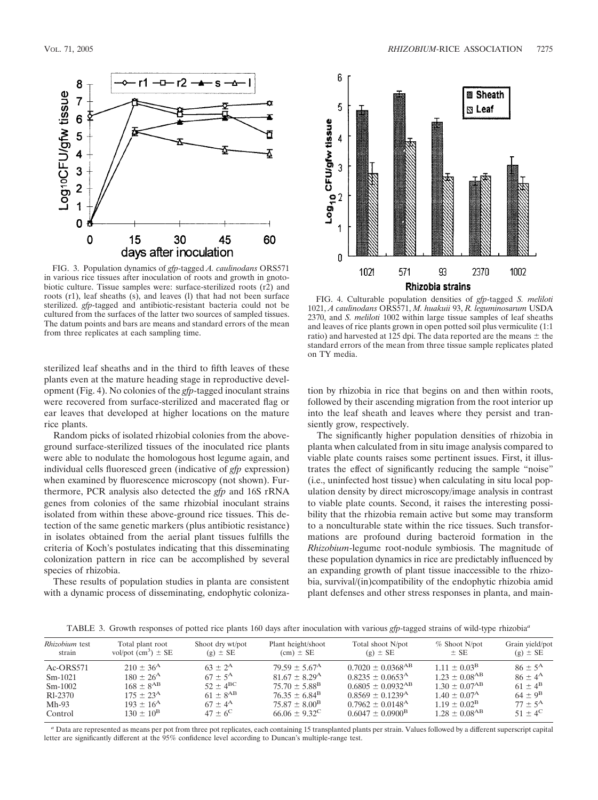

FIG. 3. Population dynamics of *gfp*-tagged *A. caulinodans* ORS571 in various rice tissues after inoculation of roots and growth in gnotobiotic culture. Tissue samples were: surface-sterilized roots (r2) and roots (r1), leaf sheaths (s), and leaves (l) that had not been surface sterilized. *gfp*-tagged and antibiotic-resistant bacteria could not be cultured from the surfaces of the latter two sources of sampled tissues. The datum points and bars are means and standard errors of the mean from three replicates at each sampling time.

sterilized leaf sheaths and in the third to fifth leaves of these plants even at the mature heading stage in reproductive development (Fig. 4). No colonies of the *gfp*-tagged inoculant strains were recovered from surface-sterilized and macerated flag or ear leaves that developed at higher locations on the mature rice plants.

Random picks of isolated rhizobial colonies from the aboveground surface-sterilized tissues of the inoculated rice plants were able to nodulate the homologous host legume again, and individual cells fluoresced green (indicative of *gfp* expression) when examined by fluorescence microscopy (not shown). Furthermore, PCR analysis also detected the *gfp* and 16S rRNA genes from colonies of the same rhizobial inoculant strains isolated from within these above-ground rice tissues. This detection of the same genetic markers (plus antibiotic resistance) in isolates obtained from the aerial plant tissues fulfills the criteria of Koch's postulates indicating that this disseminating colonization pattern in rice can be accomplished by several species of rhizobia.

These results of population studies in planta are consistent with a dynamic process of disseminating, endophytic coloniza-



FIG. 4. Culturable population densities of *gfp*-tagged *S. meliloti* 1021, *A caulinodans* ORS571, *M. huakuii* 93, *R. leguminosarum* USDA 2370, and *S. meliloti* 1002 within large tissue samples of leaf sheaths and leaves of rice plants grown in open potted soil plus vermiculite (1:1 ratio) and harvested at 125 dpi. The data reported are the means  $\pm$  the standard errors of the mean from three tissue sample replicates plated on TY media.

tion by rhizobia in rice that begins on and then within roots, followed by their ascending migration from the root interior up into the leaf sheath and leaves where they persist and transiently grow, respectively.

The significantly higher population densities of rhizobia in planta when calculated from in situ image analysis compared to viable plate counts raises some pertinent issues. First, it illustrates the effect of significantly reducing the sample "noise" (i.e., uninfected host tissue) when calculating in situ local population density by direct microscopy/image analysis in contrast to viable plate counts. Second, it raises the interesting possibility that the rhizobia remain active but some may transform to a nonculturable state within the rice tissues. Such transformations are profound during bacteroid formation in the *Rhizobium*-legume root-nodule symbiosis. The magnitude of these population dynamics in rice are predictably influenced by an expanding growth of plant tissue inaccessible to the rhizobia, survival/(in)compatibility of the endophytic rhizobia amid plant defenses and other stress responses in planta, and main-

TABLE 3. Growth responses of potted rice plants 160 days after inoculation with various *gfp*-tagged strains of wild-type rhizobia*<sup>a</sup>*

| Rhizobium test | Total plant root        | Shoot dry wt/pot  | Plant height/shoot            | Total shoot N/pot                 | $%$ Shoot N/pot         | Grain yield/pot  |
|----------------|-------------------------|-------------------|-------------------------------|-----------------------------------|-------------------------|------------------|
| strain         | vol/pot $(cm^3) \pm SE$ | $(g) \pm SE$      | $(cm) \pm SE$                 | $(g) \pm SE$                      | $\pm$ SE                | $(g) \pm SE$     |
| Ac-ORS571      | $210 \pm 36^{\rm A}$    | $63 + 2^{\rm A}$  | $79.59 + 5.67^{\rm A}$        | $0.7020 \pm 0.0368$ <sup>AB</sup> | $1.11 \pm 0.03^{\rm B}$ | $86 + 5^{\rm A}$ |
| $Sm-1021$      | $180 + 26^{\rm A}$      | $67 + 5^{\rm A}$  | $81.67 \pm 8.29$ <sup>A</sup> | $0.8235 + 0.0653^{\text{A}}$      | $1.23 \pm 0.08^{AB}$    | $86 + 4^{\rm A}$ |
| $Sm-1002$      | $168 + 8^{AB}$          | $52 + 4^{\rm BC}$ | $75.70 \pm 5.88$ <sup>B</sup> | $0.6805 \pm 0.0932$ <sup>AB</sup> | $1.30 \pm 0.07^{AB}$    | $61 + 4^B$       |
| RI-2370        | $175 + 23^{\rm A}$      | $61 + 8^{AB}$     | $76.35 \pm 6.84^{\rm B}$      | $0.8569 \pm 0.1239$ <sup>A</sup>  | $1.40 \pm 0.07^{\rm A}$ | $64 + 9^B$       |
| $Mh-93$        | $193 + 16^{A}$          | $67 + 4^{\rm A}$  | $75.87 \pm 8.00^{\rm B}$      | $0.7962 \pm 0.0148$ <sup>A</sup>  | $1.19 \pm 0.02^{\rm B}$ | $77 + 5^{\rm A}$ |
| Control        | $130 + 10^{\rm B}$      | $47 + 6^{\circ}$  | $66.06 \pm 9.32^{\circ}$      | $0.6047 \pm 0.0900^{\rm B}$       | $1.28 \pm 0.08^{AB}$    | $51 + 4^C$       |

*<sup>a</sup>* Data are represented as means per pot from three pot replicates, each containing 15 transplanted plants per strain. Values followed by a different superscript capital letter are significantly different at the 95% confidence level according to Duncan's multiple-range test.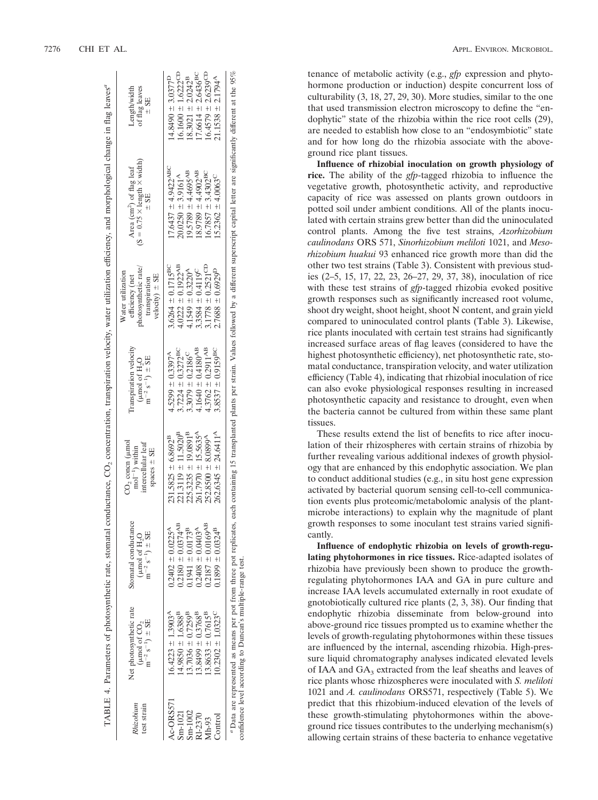| Rhizobium<br>test strain | Net photosynthetic rate<br>$m^{-2} s^{-1}$ ) $\pm$ SE<br>(µmol of CO <sub>2</sub> | Stomatal conductance<br>$m^{-2} s^{-1}$ ) $\pm$ SE<br>( $\mu$ mol of $H_2O$ | $CO2$ concn ( $\mu$ mol<br>intercellular leaf<br>$mol^{-1}$ ) within<br>spaces $\pm$ SE | Transpiration velocity<br>$m^{-2} s^{-1}$ ) $\pm$ SE<br>(umol of H <sub>2</sub> O | photosynthetic rate/<br>Water utilization<br>velocity) $\pm$ SE<br>efficiency (net<br>transpiration | $(S = 0.75 \times length \times width)$<br>Area (cm <sup>2</sup> ) of flag leaf                                                                                                                                        | Length/width<br>of flag leaves<br>± SE            |
|--------------------------|-----------------------------------------------------------------------------------|-----------------------------------------------------------------------------|-----------------------------------------------------------------------------------------|-----------------------------------------------------------------------------------|-----------------------------------------------------------------------------------------------------|------------------------------------------------------------------------------------------------------------------------------------------------------------------------------------------------------------------------|---------------------------------------------------|
| Ac-ORSS71                | $16.4223 \pm 1.3903$ <sup>A</sup>                                                 | $0.2402 \pm 0.0225$ <sup>A</sup>                                            | $231.5825 \pm 6.8692^B$                                                                 | $4.5299 \pm 0.3397$ <sup>A</sup>                                                  | $3.6264 \pm 0.1715^{BC}$                                                                            | $17.6437 \pm 4.9422$ <sup>ABC</sup>                                                                                                                                                                                    | $14.8490 \pm 3.0377$ <sup>D</sup>                 |
| $Sm-1002$<br>$Sm-1021$   | $14.9850 \pm 1.6388$ <sup>B</sup><br>$13.7036 \pm 0.7259$ <sup>B</sup>            | $0.2180 \pm 0.0374$ <sup>AB</sup><br>$0.1941 \pm 0.0173$ <sup>B</sup>       | $221.3119 \pm 11.5020^{B}$<br>$225.3235 \pm 19.0891^{\text{B}}$                         | $3.7224 \pm 0.3272$ BC<br>$3.3079 \pm 0.2186^{\circ}$                             | $4.0222 \pm 0.1922$ <sup>AB</sup><br>$4.1549 \pm 0.3220$ <sup>A</sup>                               | $19.5789 \pm 4.4695^{AB}$<br>$20.0250 \pm 3.9161^{\text{A}}$                                                                                                                                                           | $16.1600 \pm 1.6222$ CD<br>$18.3021 \pm 2.0242^B$ |
| RI-2370                  | $13.8499 \pm 0.3768$ <sup>B</sup>                                                 | $0.2408 \pm 0.0403$ <sup>A</sup>                                            | $261.7970 \pm 15.5635$ <sup>A</sup>                                                     | $4.1640 \pm 0.4180^{AB}$                                                          | $3.3584 \pm 0.4119$ <sup>C</sup>                                                                    | $18.9789 \pm 4.4902^{AB}$                                                                                                                                                                                              | $17.6614 \pm 2.6436$ BC                           |
| Mh-93                    | $13.8633 \pm 0.7615^{\text{B}}$                                                   | $0.2187 \pm 0.0169$ <sup>AB</sup>                                           | $252.8500 \pm 8.0899$ <sup>A</sup>                                                      | $4.3762 \pm 0.2911$ <sup>AB</sup>                                                 | $3.1778 \pm 0.2521$ <sup>CD</sup>                                                                   | $16.7857 \pm 3.4302^{\text{BC}}$                                                                                                                                                                                       | $16.4579 \pm 2.6239$ CD                           |
| Control                  | $10.2302 \pm 1.0323$ <sup>C</sup>                                                 | $0.1899 \pm 0.0324$ <sup>B</sup>                                            | $262.6345 \pm 24.6411^{\circ}$                                                          | $3.8537 \pm 0.9159$ <sup>BC</sup>                                                 | $2.7688 \pm 0.6929^D$                                                                               | $15.2362 \pm 4.0063^{\circ}$                                                                                                                                                                                           | $21.1538 \pm 2.1794$ <sup>A</sup>                 |
|                          | confidence level according to Duncan's multiple-range test.                       |                                                                             |                                                                                         |                                                                                   |                                                                                                     | " Data are represented as means per pot from three pot replicates, each containing 15 transplanted plants per strain. Values followed by a different superscript capital letter are significantly different at the 95% |                                                   |

tenance of metabolic activity (e.g., *gfp* expression and phytohormone production or induction) despite concurrent loss of culturability (3, 18, 27, 29, 30). More studies, similar to the one that used transmission electron microscopy to define the "endophytic" state of the rhizobia within the rice root cells (29), are needed to establish how close to an "endosymbiotic" state and for how long do the rhizobia associate with the aboveground rice plant tissues.

**Influence of rhizobial inoculation on growth physiology of rice.** The ability of the *gfp*-tagged rhizobia to influence the vegetative growth, photosynthetic activity, and reproductive capacity of rice was assessed on plants grown outdoors in potted soil under ambient conditions. All of the plants inoculated with certain strains grew better than did the uninoculated control plants. Among the five test strains, *Azorhizobium caulinodans* ORS 571, *Sinorhizobium meliloti* 1021, and *Mesorhizobium huakui* 93 enhanced rice growth more than did the other two test strains (Table 3). Consistent with previous studies (2–5, 15, 17, 22, 23, 26–27, 29, 37, 38), inoculation of rice with these test strains of *gfp*-tagged rhizobia evoked positive growth responses such as significantly increased root volume, shoot dry weight, shoot height, shoot N content, and grain yield compared to uninoculated control plants (Table 3). Likewise, rice plants inoculated with certain test strains had significantly increased surface areas of flag leaves (considered to have the highest photosynthetic efficiency), net photosynthetic rate, stomatal conductance, transpiration velocity, and water utilization efficiency (Table 4), indicating that rhizobial inoculation of rice can also evoke physiological responses resulting in increased photosynthetic capacity and resistance to drought, even when the bacteria cannot be cultured from within these same plant tissues.

These results extend the list of benefits to rice after inoculation of their rhizospheres with certain strains of rhizobia by further revealing various additional indexes of growth physiology that are enhanced by this endophytic association. We plan to conduct additional studies (e.g., in situ host gene expression activated by bacterial quorum sensing cell-to-cell communication events plus proteomic/metabolomic analysis of the plantmicrobe interactions) to explain why the magnitude of plant growth responses to some inoculant test strains varied significantly.

**Influence of endophytic rhizobia on levels of growth-regulating phytohormones in rice tissues.** Rice-adapted isolates of rhizobia have previously been shown to produce the growthregulating phytohormones IAA and GA in pure culture and increase IAA levels accumulated externally in root exudate of gnotobiotically cultured rice plants (2, 3, 38). Our finding that endophytic rhizobia disseminate from below-ground into above-ground rice tissues prompted us to examine whether the levels of growth-regulating phytohormones within these tissues are influenced by the internal, ascending rhizobia. High-pressure liquid chromatography analyses indicated elevated levels of IAA and  $GA<sub>3</sub>$  extracted from the leaf sheaths and leaves of rice plants whose rhizospheres were inoculated with *S. meliloti* 1021 and *A. caulinodans* ORS571, respectively (Table 5). We predict that this rhizobium-induced elevation of the levels of these growth-stimulating phytohormones within the aboveground rice tissues contributes to the underlying mechanism(s) allowing certain strains of these bacteria to enhance vegetative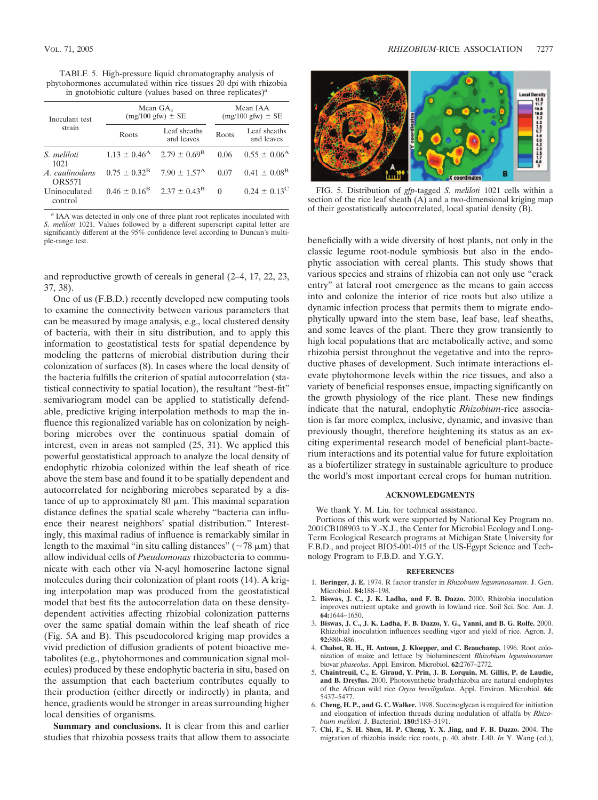TABLE 5. High-pressure liquid chromatography analysis of phytohormones accumulated within rice tissues 20 dpi with rhizobia in gnotobiotic culture (values based on three replicates)*<sup>a</sup>*

| Inoculant test<br>strain        |                       | Mean $GA3$<br>$(mg/100 gfw) \pm SE$                       | Mean IAA<br>$(mg/100 \text{ gfw}) \pm \text{SE}$ |                            |  |
|---------------------------------|-----------------------|-----------------------------------------------------------|--------------------------------------------------|----------------------------|--|
|                                 | Roots                 | Leaf sheaths<br>and leaves                                | Roots                                            | Leaf sheaths<br>and leaves |  |
| S. meliloti<br>1021             |                       | $1.13 + 0.46^{A}$ $2.79 + 0.69^{B}$                       | 0.06                                             | $0.55 \pm 0.06^{\rm A}$    |  |
| A. caulinodans<br><b>ORS571</b> | $0.75 + 0.32^{\rm B}$ | $7.90 \pm 1.57^{\rm A}$                                   | 0.07                                             | $0.41 \pm 0.08^{\rm B}$    |  |
| Uninoculated<br>control         |                       | $0.46 \pm 0.16$ <sup>B</sup> $2.37 \pm 0.43$ <sup>B</sup> | $\Omega$                                         | $0.24 \pm 0.13^{\circ}$    |  |

*<sup>a</sup>* IAA was detected in only one of three plant root replicates inoculated with *S. meliloti* 1021. Values followed by a different superscript capital letter are significantly different at the 95% confidence level according to Duncan's multiple-range test.

and reproductive growth of cereals in general (2–4, 17, 22, 23, 37, 38).

One of us (F.B.D.) recently developed new computing tools to examine the connectivity between various parameters that can be measured by image analysis, e.g., local clustered density of bacteria, with their in situ distribution, and to apply this information to geostatistical tests for spatial dependence by modeling the patterns of microbial distribution during their colonization of surfaces (8). In cases where the local density of the bacteria fulfills the criterion of spatial autocorrelation (statistical connectivity to spatial location), the resultant "best-fit" semivariogram model can be applied to statistically defendable, predictive kriging interpolation methods to map the influence this regionalized variable has on colonization by neighboring microbes over the continuous spatial domain of interest, even in areas not sampled (25, 31). We applied this powerful geostatistical approach to analyze the local density of endophytic rhizobia colonized within the leaf sheath of rice above the stem base and found it to be spatially dependent and autocorrelated for neighboring microbes separated by a distance of up to approximately  $80 \mu m$ . This maximal separation distance defines the spatial scale whereby "bacteria can influence their nearest neighbors' spatial distribution." Interestingly, this maximal radius of influence is remarkably similar in length to the maximal "in situ calling distances" ( $\sim$ 78  $\mu$ m) that allow individual cells of *Pseudomonas* rhizobacteria to communicate with each other via N-acyl homoserine lactone signal molecules during their colonization of plant roots (14). A kriging interpolation map was produced from the geostatistical model that best fits the autocorrelation data on these densitydependent activities affecting rhizobial colonization patterns over the same spatial domain within the leaf sheath of rice (Fig. 5A and B). This pseudocolored kriging map provides a vivid prediction of diffusion gradients of potent bioactive metabolites (e.g., phytohormones and communication signal molecules) produced by these endophytic bacteria in situ, based on the assumption that each bacterium contributes equally to their production (either directly or indirectly) in planta, and hence, gradients would be stronger in areas surrounding higher local densities of organisms.

**Summary and conclusions.** It is clear from this and earlier studies that rhizobia possess traits that allow them to associate



FIG. 5. Distribution of *gfp*-tagged *S. meliloti* 1021 cells within a section of the rice leaf sheath (A) and a two-dimensional kriging map of their geostatistically autocorrelated, local spatial density (B).

beneficially with a wide diversity of host plants, not only in the classic legume root-nodule symbiosis but also in the endophytic association with cereal plants. This study shows that various species and strains of rhizobia can not only use "crack entry" at lateral root emergence as the means to gain access into and colonize the interior of rice roots but also utilize a dynamic infection process that permits them to migrate endophytically upward into the stem base, leaf base, leaf sheaths, and some leaves of the plant. There they grow transiently to high local populations that are metabolically active, and some rhizobia persist throughout the vegetative and into the reproductive phases of development. Such intimate interactions elevate phytohormone levels within the rice tissues, and also a variety of beneficial responses ensue, impacting significantly on the growth physiology of the rice plant. These new findings indicate that the natural, endophytic *Rhizobium*-rice association is far more complex, inclusive, dynamic, and invasive than previously thought, therefore heightening its status as an exciting experimental research model of beneficial plant-bacterium interactions and its potential value for future exploitation as a biofertilizer strategy in sustainable agriculture to produce the world's most important cereal crops for human nutrition.

### **ACKNOWLEDGMENTS**

We thank Y. M. Liu. for technical assistance.

Portions of this work were supported by National Key Program no. 2001CB108903 to Y.-X.J., the Center for Microbial Ecology and Long-Term Ecological Research programs at Michigan State University for F.B.D., and project BIO5-001-015 of the US-Egypt Science and Technology Program to F.B.D. and Y.G.Y.

### **REFERENCES**

- 1. **Beringer, J. E.** 1974. R factor transfer in *Rhizobium leguminosarum*. J. Gen. Microbiol. **84:**188–198.
- 2. **Biswas, J. C., J. K. Ladha, and F. B. Dazzo.** 2000. Rhizobia inoculation improves nutrient uptake and growth in lowland rice. Soil Sci. Soc. Am. J. **64:**1644–1650.
- 3. **Biswas, J. C., J. K. Ladha, F. B. Dazzo, Y. G., Yanni, and B. G. Rolfe.** 2000. Rhizobial inoculation influences seedling vigor and yield of rice. Agron. J. **92:**880–886.
- 4. **Chabot, R. H., H. Antoun, J. Kloepper, and C. Beauchamp.** 1996. Root colonization of maize and lettuce by bioluminescent *Rhizobium leguminosarum* biovar *phaseolus*. Appl. Environ. Microbiol. **62:**2767–2772.
- 5. **Chaintreuil, C., E. Giraud, Y. Prin, J. B. Lorquin, M. Gillis, P. de Laudie, and B. Dreyfus.** 2000. Photosynthetic bradyrhizobia are natural endophytes of the African wild rice *Oryza breviligulata*. Appl. Environ. Microbiol. **66:** 5437–5477.
- 6. **Cheng, H. P., and G. C. Walker.** 1998. Succinoglycan is required for initiation and elongation of infection threads during nodulation of alfalfa by *Rhizobium meliloti*. J. Bacteriol. **180:**5183–5191.
- 7. **Chi, F., S. H. Shen, H. P. Cheng, Y. X. Jing, and F. B. Dazzo.** 2004. The migration of rhizobia inside rice roots, p. 40, abstr. L40. *In* Y. Wang (ed.),